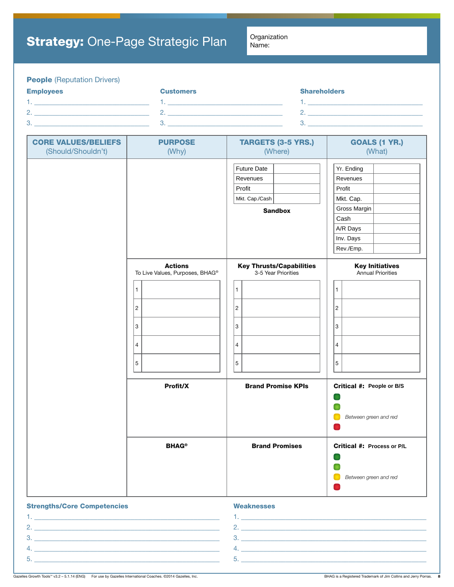# **People** (Reputation Drivers)

| <b>Employees</b> | <b>Customers</b> | <b>Shareholders</b> |
|------------------|------------------|---------------------|
|                  |                  |                     |
| -                |                  |                     |
| $\circ$<br>.ت    |                  |                     |

| <b>CORE VALUES/BELIEFS</b> | <b>PURPOSE</b>                  | <b>TARGETS (3-5 YRS.)</b>                                                    | <b>GOALS (1 YR.)</b>                                                                                        |
|----------------------------|---------------------------------|------------------------------------------------------------------------------|-------------------------------------------------------------------------------------------------------------|
| (Should/Shouldn't)         | (Why)                           | (Where)                                                                      | (What)                                                                                                      |
|                            |                                 | <b>Future Date</b><br>Revenues<br>Profit<br>Mkt. Cap./Cash<br><b>Sandbox</b> | Yr. Ending<br>Revenues<br>Profit<br>Mkt. Cap.<br>Gross Margin<br>Cash<br>A/R Days<br>Inv. Days<br>Rev./Emp. |
|                            | <b>Actions</b>                  | <b>Key Thrusts/Capabilities</b>                                              | <b>Key Initiatives</b>                                                                                      |
|                            | To Live Values, Purposes, BHAG® | 3-5 Year Priorities                                                          | Annual Priorities                                                                                           |
|                            | $\mathbf{1}$                    | $\mathbf{1}$                                                                 | $\mathbf{1}$                                                                                                |
|                            | $\overline{c}$                  | $\overline{2}$                                                               | $\overline{c}$                                                                                              |
|                            | 3                               | 3                                                                            | $\ensuremath{\mathsf{3}}$                                                                                   |
|                            | 4                               | $\overline{4}$                                                               | $\overline{4}$                                                                                              |
|                            | $\sqrt{5}$                      | $\sqrt{5}$                                                                   | 5                                                                                                           |
|                            | Profit/X                        | <b>Brand Promise KPIs</b>                                                    | Critical #: People or B/S<br>Between green and red                                                          |
|                            | <b>BHAG®</b>                    | <b>Brand Promises</b>                                                        | Critical #: Process or P/L<br>Between green and red                                                         |

### **Strengths/Core Competencies**

| <b>Weaknesses</b> |  |  |
|-------------------|--|--|
|                   |  |  |

|   | the contract of the contract of the contract of the contract of the contract of the contract of the contract of |
|---|-----------------------------------------------------------------------------------------------------------------|
|   |                                                                                                                 |
| ັ |                                                                                                                 |
|   |                                                                                                                 |